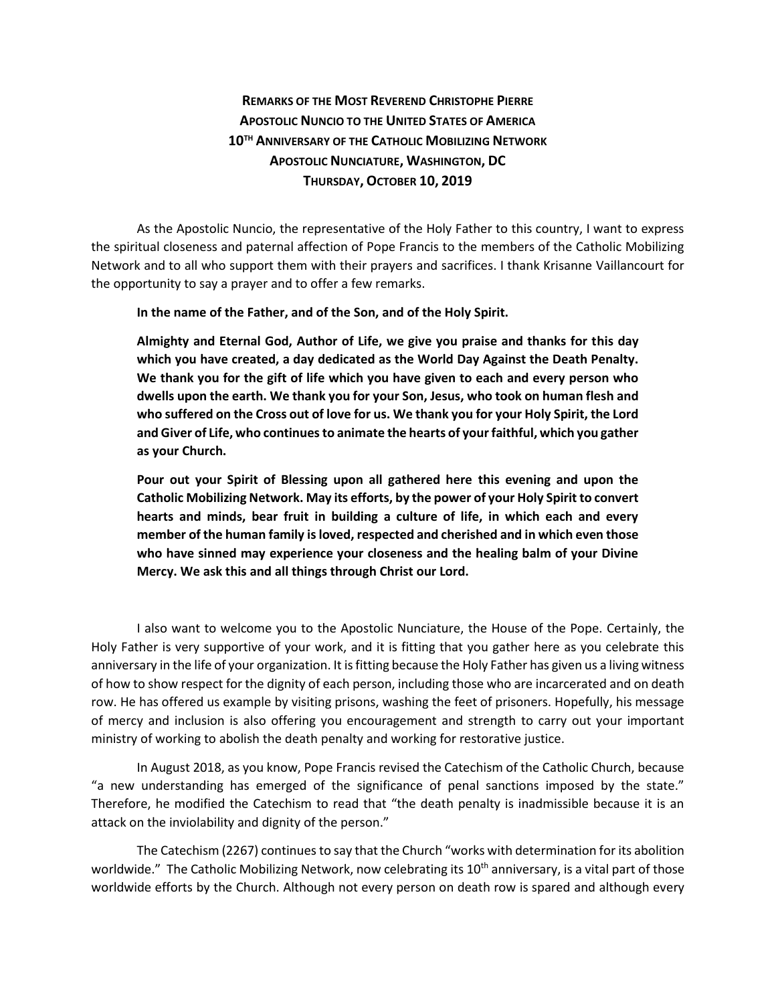## **REMARKS OF THE MOST REVEREND CHRISTOPHE PIERRE APOSTOLIC NUNCIO TO THE UNITED STATES OF AMERICA 10TH ANNIVERSARY OF THE CATHOLIC MOBILIZING NETWORK APOSTOLIC NUNCIATURE, WASHINGTON, DC THURSDAY, OCTOBER 10, 2019**

As the Apostolic Nuncio, the representative of the Holy Father to this country, I want to express the spiritual closeness and paternal affection of Pope Francis to the members of the Catholic Mobilizing Network and to all who support them with their prayers and sacrifices. I thank Krisanne Vaillancourt for the opportunity to say a prayer and to offer a few remarks.

**In the name of the Father, and of the Son, and of the Holy Spirit.**

**Almighty and Eternal God, Author of Life, we give you praise and thanks for this day which you have created, a day dedicated as the World Day Against the Death Penalty. We thank you for the gift of life which you have given to each and every person who dwells upon the earth. We thank you for your Son, Jesus, who took on human flesh and who suffered on the Cross out of love for us. We thank you for your Holy Spirit, the Lord and Giver of Life, who continues to animate the hearts of your faithful, which you gather as your Church.**

**Pour out your Spirit of Blessing upon all gathered here this evening and upon the Catholic Mobilizing Network. May its efforts, by the power of your Holy Spirit to convert hearts and minds, bear fruit in building a culture of life, in which each and every member of the human family is loved, respected and cherished and in which even those who have sinned may experience your closeness and the healing balm of your Divine Mercy. We ask this and all things through Christ our Lord.**

I also want to welcome you to the Apostolic Nunciature, the House of the Pope. Certainly, the Holy Father is very supportive of your work, and it is fitting that you gather here as you celebrate this anniversary in the life of your organization. It is fitting because the Holy Father has given us a living witness of how to show respect for the dignity of each person, including those who are incarcerated and on death row. He has offered us example by visiting prisons, washing the feet of prisoners. Hopefully, his message of mercy and inclusion is also offering you encouragement and strength to carry out your important ministry of working to abolish the death penalty and working for restorative justice.

In August 2018, as you know, Pope Francis revised the Catechism of the Catholic Church, because "a new understanding has emerged of the significance of penal sanctions imposed by the state." Therefore, he modified the Catechism to read that "the death penalty is inadmissible because it is an attack on the inviolability and dignity of the person."

The Catechism (2267) continues to say that the Church "works with determination for its abolition worldwide." The Catholic Mobilizing Network, now celebrating its 10<sup>th</sup> anniversary, is a vital part of those worldwide efforts by the Church. Although not every person on death row is spared and although every